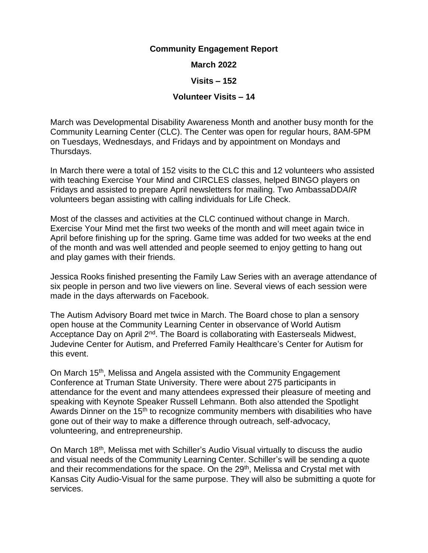## **Community Engagement Report**

## **March 2022**

## **Visits – 152**

## **Volunteer Visits – 14**

March was Developmental Disability Awareness Month and another busy month for the Community Learning Center (CLC). The Center was open for regular hours, 8AM-5PM on Tuesdays, Wednesdays, and Fridays and by appointment on Mondays and Thursdays.

In March there were a total of 152 visits to the CLC this and 12 volunteers who assisted with teaching Exercise Your Mind and CIRCLES classes, helped BINGO players on Fridays and assisted to prepare April newsletters for mailing. Two AmbassaDD*AIR* volunteers began assisting with calling individuals for Life Check.

Most of the classes and activities at the CLC continued without change in March. Exercise Your Mind met the first two weeks of the month and will meet again twice in April before finishing up for the spring. Game time was added for two weeks at the end of the month and was well attended and people seemed to enjoy getting to hang out and play games with their friends.

Jessica Rooks finished presenting the Family Law Series with an average attendance of six people in person and two live viewers on line. Several views of each session were made in the days afterwards on Facebook.

The Autism Advisory Board met twice in March. The Board chose to plan a sensory open house at the Community Learning Center in observance of World Autism Acceptance Day on April 2<sup>nd</sup>. The Board is collaborating with Easterseals Midwest, Judevine Center for Autism, and Preferred Family Healthcare's Center for Autism for this event.

On March 15<sup>th</sup>, Melissa and Angela assisted with the Community Engagement Conference at Truman State University. There were about 275 participants in attendance for the event and many attendees expressed their pleasure of meeting and speaking with Keynote Speaker Russell Lehmann. Both also attended the Spotlight Awards Dinner on the 15<sup>th</sup> to recognize community members with disabilities who have gone out of their way to make a difference through outreach, self-advocacy, volunteering, and entrepreneurship.

On March 18th, Melissa met with Schiller's Audio Visual virtually to discuss the audio and visual needs of the Community Learning Center. Schiller's will be sending a quote and their recommendations for the space. On the 29<sup>th</sup>, Melissa and Crystal met with Kansas City Audio-Visual for the same purpose. They will also be submitting a quote for services.